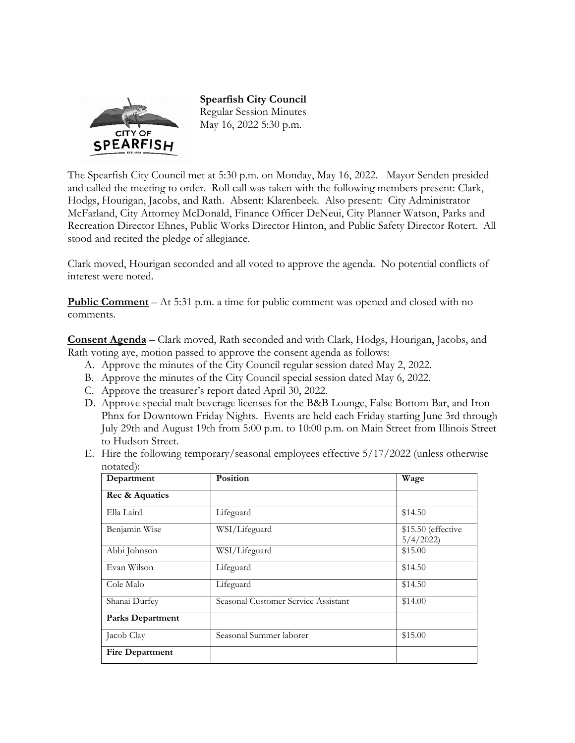

**Spearfish City Council**  Regular Session Minutes May 16, 2022 5:30 p.m.

The Spearfish City Council met at 5:30 p.m. on Monday, May 16, 2022. Mayor Senden presided and called the meeting to order. Roll call was taken with the following members present: Clark, Hodgs, Hourigan, Jacobs, and Rath. Absent: Klarenbeek. Also present: City Administrator McFarland, City Attorney McDonald, Finance Officer DeNeui, City Planner Watson, Parks and Recreation Director Ehnes, Public Works Director Hinton, and Public Safety Director Rotert. All stood and recited the pledge of allegiance.

Clark moved, Hourigan seconded and all voted to approve the agenda. No potential conflicts of interest were noted.

**Public Comment** – At 5:31 p.m. a time for public comment was opened and closed with no comments.

**Consent Agenda** – Clark moved, Rath seconded and with Clark, Hodgs, Hourigan, Jacobs, and Rath voting aye, motion passed to approve the consent agenda as follows:

- A. Approve the minutes of the City Council regular session dated May 2, 2022.
- B. Approve the minutes of the City Council special session dated May 6, 2022.
- C. Approve the treasurer's report dated April 30, 2022.
- D. Approve special malt beverage licenses for the B&B Lounge, False Bottom Bar, and Iron Phnx for Downtown Friday Nights. Events are held each Friday starting June 3rd through July 29th and August 19th from 5:00 p.m. to 10:00 p.m. on Main Street from Illinois Street to Hudson Street.
- E. Hire the following temporary/seasonal employees effective 5/17/2022 (unless otherwise notated):

| Department              | Position                            | Wage                           |
|-------------------------|-------------------------------------|--------------------------------|
| Rec & Aquatics          |                                     |                                |
| Ella Laird              | Lifeguard                           | \$14.50                        |
| Benjamin Wise           | WSI/Lifeguard                       | \$15.50 (effective<br>5/4/2022 |
| Abbi Johnson            | WSI/Lifeguard                       | \$15.00                        |
| Evan Wilson             | Lifeguard                           | \$14.50                        |
| Cole Malo               | Lifeguard                           | \$14.50                        |
| Shanai Durfey           | Seasonal Customer Service Assistant | \$14.00                        |
| <b>Parks Department</b> |                                     |                                |
| Jacob Clay              | Seasonal Summer laborer             | \$15.00                        |
| <b>Fire Department</b>  |                                     |                                |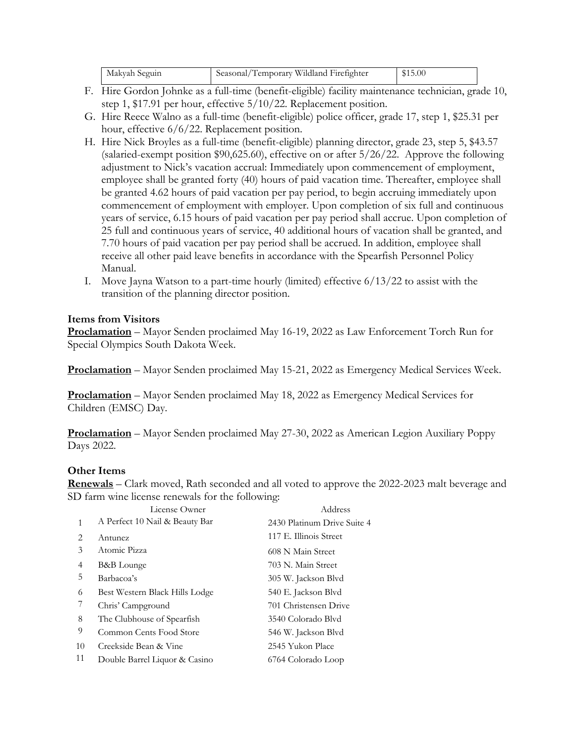| Seasonal.<br>Makyah Seguin | Wildland<br>emporary.<br>. Firefighter | 15.00 |
|----------------------------|----------------------------------------|-------|
|----------------------------|----------------------------------------|-------|

- F. Hire Gordon Johnke as a full-time (benefit-eligible) facility maintenance technician, grade 10, step 1, \$17.91 per hour, effective 5/10/22. Replacement position.
- G. Hire Reece Walno as a full-time (benefit-eligible) police officer, grade 17, step 1, \$25.31 per hour, effective  $6/6/22$ . Replacement position.
- H. Hire Nick Broyles as a full-time (benefit-eligible) planning director, grade 23, step 5, \$43.57 (salaried-exempt position \$90,625.60), effective on or after 5/26/22. Approve the following adjustment to Nick's vacation accrual: Immediately upon commencement of employment, employee shall be granted forty (40) hours of paid vacation time. Thereafter, employee shall be granted 4.62 hours of paid vacation per pay period, to begin accruing immediately upon commencement of employment with employer. Upon completion of six full and continuous years of service, 6.15 hours of paid vacation per pay period shall accrue. Upon completion of 25 full and continuous years of service, 40 additional hours of vacation shall be granted, and 7.70 hours of paid vacation per pay period shall be accrued. In addition, employee shall receive all other paid leave benefits in accordance with the Spearfish Personnel Policy Manual.
- I. Move Jayna Watson to a part-time hourly (limited) effective  $6/13/22$  to assist with the transition of the planning director position.

# **Items from Visitors**

**Proclamation** – Mayor Senden proclaimed May 16-19, 2022 as Law Enforcement Torch Run for Special Olympics South Dakota Week.

**Proclamation** – Mayor Senden proclaimed May 15-21, 2022 as Emergency Medical Services Week.

**Proclamation** – Mayor Senden proclaimed May 18, 2022 as Emergency Medical Services for Children (EMSC) Day.

**Proclamation** – Mayor Senden proclaimed May 27-30, 2022 as American Legion Auxiliary Poppy Days 2022.

### **Other Items**

**Renewals** – Clark moved, Rath seconded and all voted to approve the 2022-2023 malt beverage and SD farm wine license renewals for the following:

|              | License Owner                  | Address                     |
|--------------|--------------------------------|-----------------------------|
| $\mathbf{1}$ | A Perfect 10 Nail & Beauty Bar | 2430 Platinum Drive Suite 4 |
| 2            | Antunez                        | 117 E. Illinois Street      |
| 3            | Atomic Pizza                   | 608 N Main Street           |
| 4            | B&B Lounge                     | 703 N. Main Street          |
| 5            | Barbacoa's                     | 305 W. Jackson Blvd         |
| 6            | Best Western Black Hills Lodge | 540 E. Jackson Blvd         |
|              | Chris' Campground              | 701 Christensen Drive       |
| 8            | The Clubhouse of Spearfish     | 3540 Colorado Blvd          |
| 9            | Common Cents Food Store        | 546 W. Jackson Blvd         |
| 10           | Creekside Bean & Vine          | 2545 Yukon Place            |
| 11           | Double Barrel Liquor & Casino  | 6764 Colorado Loop          |
|              |                                |                             |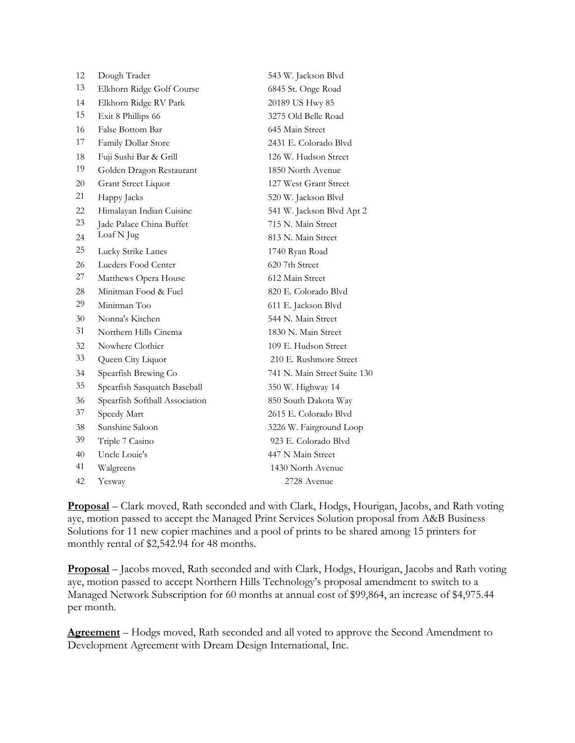| 12 | Dough Trader                   | 543 W. Jackson Blvd          |
|----|--------------------------------|------------------------------|
| 13 | Elkhorn Ridge Golf Course      | 6845 St. Onge Road           |
| 14 | Elkhorn Ridge RV Park          | 20189 US Hwy 85              |
| 15 | Exit 8 Phillips 66             | 3275 Old Belle Road          |
| 16 | False Bottom Bar               | 645 Main Street              |
| 17 | Family Dollar Store            | 2431 E. Colorado Blvd        |
| 18 | Fuji Sushi Bar & Grill         | 126 W. Hudson Street         |
| 19 | Golden Dragon Restaurant       | 1850 North Avenue            |
| 20 | Grant Street Liquor            | 127 West Grant Street        |
| 21 | Happy Jacks                    | 520 W. Jackson Blvd          |
| 22 | Himalayan Indian Cuisine       | 541 W. Jackson Blvd Apt 2    |
| 23 | Jade Palace China Buffet       | 715 N. Main Street           |
| 24 | Loaf N Jug                     | 813 N. Main Street           |
| 25 | Lucky Strike Lanes             | 1740 Ryan Road               |
| 26 | Lueders Food Center            | 620 7th Street               |
| 27 | Matthews Opera House           | 612 Main Street              |
| 28 | Minitman Food & Fuel           | 820 E. Colorado Blyd         |
| 29 | Minitman Too                   | 611 E. Jackson Blvd          |
| 30 | Nonna's Kitchen                | 544 N. Main Street           |
| 31 | Northern Hills Cinema          | 1830 N. Main Street          |
| 32 | Nowhere Clothier               | 109 E. Hudson Street         |
| 33 | Queen City Liquor              | 210 E. Rushmore Street       |
| 34 | Spearfish Brewing Co           | 741 N. Main Street Suite 130 |
| 35 | Spearfish Sasquatch Baseball   | 350 W. Highway 14            |
| 36 | Spearfish Softball Association | 850 South Dakota Way         |
| 37 | Speedy Mart                    | 2615 E. Colorado Blvd        |
| 38 | Sunshine Saloon                | 3226 W. Fairground Loop      |
| 39 | Triple 7 Casino                | 923 E. Colorado Blvd         |
| 40 | Uncle Louie's                  | 447 N Main Street            |
| 41 | Walgreens                      | 1430 North Avenue            |
| 42 | Yesway                         | 2728 Avenue                  |

**Proposal** – Clark moved, Rath seconded and with Clark, Hodgs, Hourigan, Jacobs, and Rath voting aye, motion passed to accept the Managed Print Services Solution proposal from A&B Business Solutions for 11 new copier machines and a pool of prints to be shared among 15 printers for monthly rental of \$2,542.94 for 48 months.

**Proposal** – Jacobs moved, Rath seconded and with Clark, Hodgs, Hourigan, Jacobs and Rath voting aye, motion passed to accept Northern Hills Technology's proposal amendment to switch to a Managed Network Subscription for 60 months at annual cost of \$99,864, an increase of \$4,975.44 per month.

**Agreement** – Hodgs moved, Rath seconded and all voted to approve the Second Amendment to Development Agreement with Dream Design International, Inc.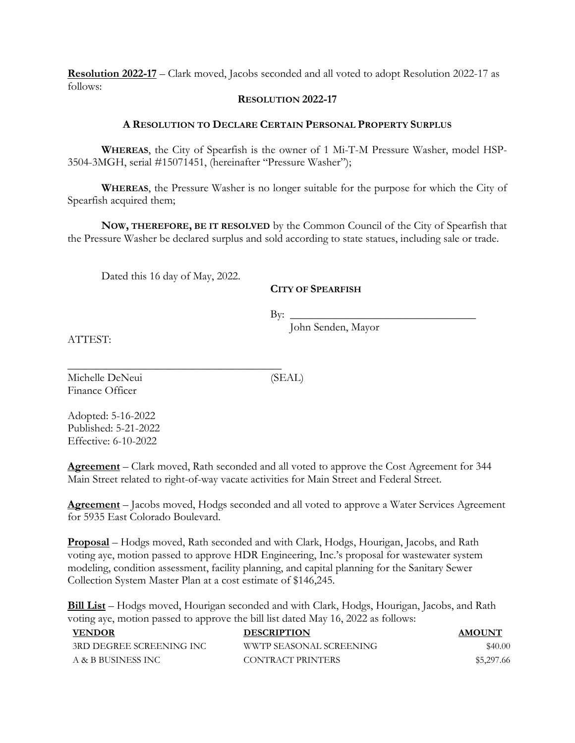**Resolution 2022-17** – Clark moved, Jacobs seconded and all voted to adopt Resolution 2022-17 as follows:

#### **RESOLUTION 2022-17**

#### **A RESOLUTION TO DECLARE CERTAIN PERSONAL PROPERTY SURPLUS**

**WHEREAS**, the City of Spearfish is the owner of 1 Mi-T-M Pressure Washer, model HSP-3504-3MGH, serial #15071451, (hereinafter "Pressure Washer");

**WHEREAS**, the Pressure Washer is no longer suitable for the purpose for which the City of Spearfish acquired them;

**NOW, THEREFORE, BE IT RESOLVED** by the Common Council of the City of Spearfish that the Pressure Washer be declared surplus and sold according to state statues, including sale or trade.

Dated this 16 day of May, 2022.

\_\_\_\_\_\_\_\_\_\_\_\_\_\_\_\_\_\_\_\_\_\_\_\_\_\_\_\_\_\_\_\_\_\_\_\_\_\_

## **CITY OF SPEARFISH**

 $\text{By:}\n\qquad \qquad \qquad$ 

John Senden, Mayor

ATTEST:

Michelle DeNeui (SEAL) Finance Officer

Adopted: 5-16-2022 Published: 5-21-2022 Effective: 6-10-2022

**Agreement** – Clark moved, Rath seconded and all voted to approve the Cost Agreement for 344 Main Street related to right-of-way vacate activities for Main Street and Federal Street.

**Agreement** – Jacobs moved, Hodgs seconded and all voted to approve a Water Services Agreement for 5935 East Colorado Boulevard.

**Proposal** – Hodgs moved, Rath seconded and with Clark, Hodgs, Hourigan, Jacobs, and Rath voting aye, motion passed to approve HDR Engineering, Inc.'s proposal for wastewater system modeling, condition assessment, facility planning, and capital planning for the Sanitary Sewer Collection System Master Plan at a cost estimate of \$146,245.

**Bill List** – Hodgs moved, Hourigan seconded and with Clark, Hodgs, Hourigan, Jacobs, and Rath voting aye, motion passed to approve the bill list dated May 16, 2022 as follows:

| <b>VENDOR</b>            | <b>DESCRIPTION</b>      | <b>AMOUNT</b> |
|--------------------------|-------------------------|---------------|
| 3RD DEGREE SCREENING INC | WWTP SEASONAL SCREENING | \$40.00       |
| A & B BUSINESS INC       | CONTRACT PRINTERS       | \$5,297.66    |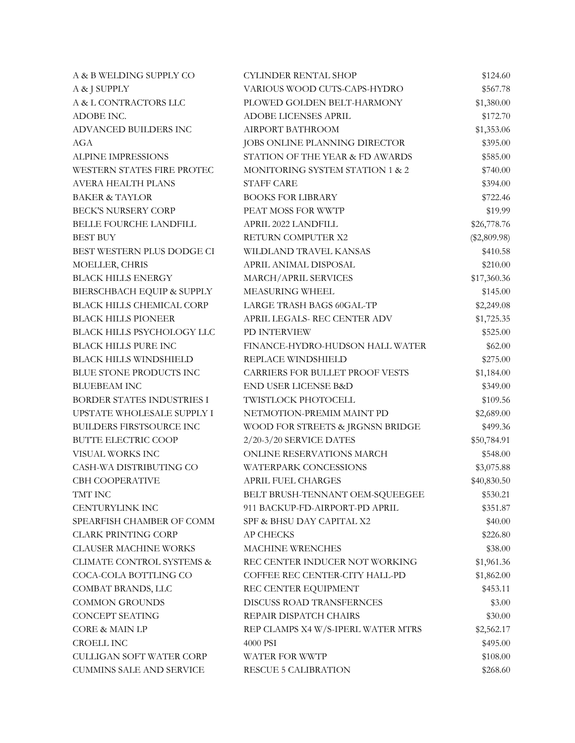| A & B WELDING SUPPLY CO              | <b>CYLINDER RENTAL SHOP</b>            | \$124.60       |
|--------------------------------------|----------------------------------------|----------------|
| A & J SUPPLY                         | VARIOUS WOOD CUTS-CAPS-HYDRO           | \$567.78       |
| A & L CONTRACTORS LLC                | PLOWED GOLDEN BELT-HARMONY             | \$1,380.00     |
| ADOBE INC.                           | ADOBE LICENSES APRIL                   | \$172.70       |
| ADVANCED BUILDERS INC                | AIRPORT BATHROOM                       | \$1,353.06     |
| AGA                                  | JOBS ONLINE PLANNING DIRECTOR          | \$395.00       |
| ALPINE IMPRESSIONS                   | STATION OF THE YEAR & FD AWARDS        | \$585.00       |
| WESTERN STATES FIRE PROTEC           | MONITORING SYSTEM STATION 1 & 2        | \$740.00       |
| AVERA HEALTH PLANS                   | <b>STAFF CARE</b>                      | \$394.00       |
| <b>BAKER &amp; TAYLOR</b>            | <b>BOOKS FOR LIBRARY</b>               | \$722.46       |
| <b>BECK'S NURSERY CORP</b>           | PEAT MOSS FOR WWTP                     | \$19.99        |
| BELLE FOURCHE LANDFILL               | APRIL 2022 LANDFILL                    | \$26,778.76    |
| <b>BEST BUY</b>                      | RETURN COMPUTER X2                     | $(\$2,809.98)$ |
| BEST WESTERN PLUS DODGE CI           | WILDLAND TRAVEL KANSAS                 | \$410.58       |
| MOELLER, CHRIS                       | APRIL ANIMAL DISPOSAL                  | \$210.00       |
| <b>BLACK HILLS ENERGY</b>            | MARCH/APRIL SERVICES                   | \$17,360.36    |
| BIERSCHBACH EQUIP & SUPPLY           | MEASURING WHEEL                        | \$145.00       |
| BLACK HILLS CHEMICAL CORP            | LARGE TRASH BAGS 60GAL-TP              | \$2,249.08     |
| <b>BLACK HILLS PIONEER</b>           | APRIL LEGALS-REC CENTER ADV            | \$1,725.35     |
| BLACK HILLS PSYCHOLOGY LLC           | PD INTERVIEW                           | \$525.00       |
| BLACK HILLS PURE INC                 | FINANCE-HYDRO-HUDSON HALL WATER        | \$62.00        |
| <b>BLACK HILLS WINDSHIELD</b>        | REPLACE WINDSHIELD                     | \$275.00       |
| BLUE STONE PRODUCTS INC              | <b>CARRIERS FOR BULLET PROOF VESTS</b> | \$1,184.00     |
| <b>BLUEBEAM INC</b>                  | <b>END USER LICENSE B&amp;D</b>        | \$349.00       |
| BORDER STATES INDUSTRIES I           | TWISTLOCK PHOTOCELL                    | \$109.56       |
| UPSTATE WHOLESALE SUPPLY I           | NETMOTION-PREMIM MAINT PD              | \$2,689.00     |
| <b>BUILDERS FIRSTSOURCE INC</b>      | WOOD FOR STREETS & JRGNSN BRIDGE       | \$499.36       |
| <b>BUTTE ELECTRIC COOP</b>           | 2/20-3/20 SERVICE DATES                | \$50,784.91    |
| VISUAL WORKS INC                     | ONLINE RESERVATIONS MARCH              | \$548.00       |
| CASH-WA DISTRIBUTING CO              | WATERPARK CONCESSIONS                  | \$3,075.88     |
| CBH COOPERATIVE                      | <b>APRIL FUEL CHARGES</b>              | \$40,830.50    |
| TMT INC                              | BELT BRUSH-TENNANT OEM-SQUEEGEE        | \$530.21       |
| <b>CENTURYLINK INC</b>               | 911 BACKUP-FD-AIRPORT-PD APRIL         | \$351.87       |
| SPEARFISH CHAMBER OF COMM            | SPF & BHSU DAY CAPITAL X2              | \$40.00        |
| <b>CLARK PRINTING CORP</b>           | <b>AP CHECKS</b>                       | \$226.80       |
| <b>CLAUSER MACHINE WORKS</b>         | <b>MACHINE WRENCHES</b>                | \$38.00        |
| <b>CLIMATE CONTROL SYSTEMS &amp;</b> | REC CENTER INDUCER NOT WORKING         | \$1,961.36     |
| COCA-COLA BOTTLING CO                | COFFEE REC CENTER-CITY HALL-PD         | \$1,862.00     |
| COMBAT BRANDS, LLC                   | REC CENTER EQUIPMENT                   | \$453.11       |
| <b>COMMON GROUNDS</b>                | DISCUSS ROAD TRANSFERNCES              | \$3.00         |
| CONCEPT SEATING                      | REPAIR DISPATCH CHAIRS                 | \$30.00        |
| <b>CORE &amp; MAIN LP</b>            | REP CLAMPS X4 W/S-IPERL WATER MTRS     | \$2,562.17     |
| <b>CROELL INC</b>                    | 4000 PSI                               | \$495.00       |
| CULLIGAN SOFT WATER CORP             | WATER FOR WWTP                         | \$108.00       |
| <b>CUMMINS SALE AND SERVICE</b>      | <b>RESCUE 5 CALIBRATION</b>            | \$268.60       |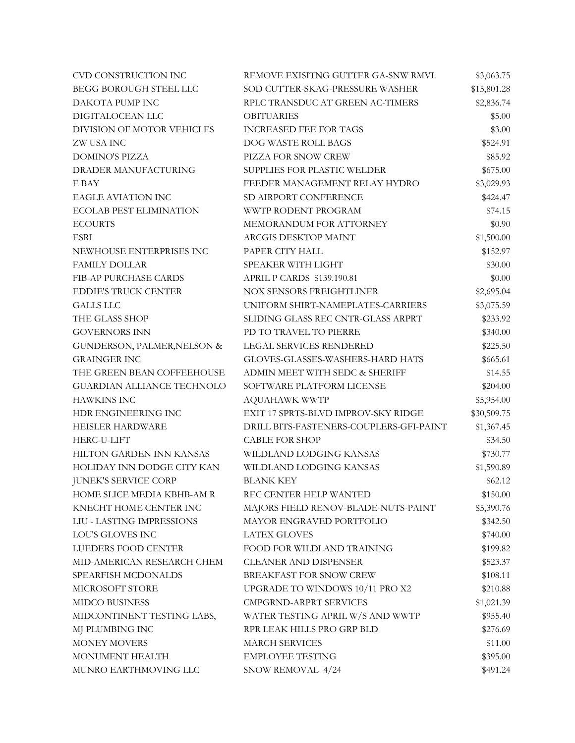| CVD CONSTRUCTION INC              | REMOVE EXISITNG GUTTER GA-SNW RMVL      | \$3,063.75  |
|-----------------------------------|-----------------------------------------|-------------|
| <b>BEGG BOROUGH STEEL LLC</b>     | SOD CUTTER-SKAG-PRESSURE WASHER         | \$15,801.28 |
| DAKOTA PUMP INC                   | RPLC TRANSDUC AT GREEN AC-TIMERS        | \$2,836.74  |
| DIGITALOCEAN LLC                  | <b>OBITUARIES</b>                       | \$5.00      |
| DIVISION OF MOTOR VEHICLES        | <b>INCREASED FEE FOR TAGS</b>           | \$3.00      |
| ZW USA INC                        | DOG WASTE ROLL BAGS                     | \$524.91    |
| <b>DOMINO'S PIZZA</b>             | PIZZA FOR SNOW CREW                     | \$85.92     |
| DRADER MANUFACTURING              | SUPPLIES FOR PLASTIC WELDER             | \$675.00    |
| E BAY                             | FEEDER MANAGEMENT RELAY HYDRO           | \$3,029.93  |
| <b>EAGLE AVIATION INC</b>         | SD AIRPORT CONFERENCE                   | \$424.47    |
| <b>ECOLAB PEST ELIMINATION</b>    | WWTP RODENT PROGRAM                     | \$74.15     |
| <b>ECOURTS</b>                    | MEMORANDUM FOR ATTORNEY                 | \$0.90      |
| ESRI                              | ARCGIS DESKTOP MAINT                    | \$1,500.00  |
| NEWHOUSE ENTERPRISES INC          | PAPER CITY HALL                         | \$152.97    |
| <b>FAMILY DOLLAR</b>              | SPEAKER WITH LIGHT                      | \$30.00     |
| FIB-AP PURCHASE CARDS             | APRIL P CARDS \$139.190.81              | \$0.00      |
| <b>EDDIE'S TRUCK CENTER</b>       | <b>NOX SENSORS FREIGHTLINER</b>         | \$2,695.04  |
| <b>GALLS LLC</b>                  | UNIFORM SHIRT-NAMEPLATES-CARRIERS       | \$3,075.59  |
| THE GLASS SHOP                    | SLIDING GLASS REC CNTR-GLASS ARPRT      | \$233.92    |
| <b>GOVERNORS INN</b>              | PD TO TRAVEL TO PIERRE                  | \$340.00    |
| GUNDERSON, PALMER, NELSON &       | LEGAL SERVICES RENDERED                 | \$225.50    |
| <b>GRAINGER INC</b>               | GLOVES-GLASSES-WASHERS-HARD HATS        | \$665.61    |
| THE GREEN BEAN COFFEEHOUSE        | ADMIN MEET WITH SEDC & SHERIFF          | \$14.55     |
| <b>GUARDIAN ALLIANCE TECHNOLO</b> | SOFTWARE PLATFORM LICENSE               | \$204.00    |
| <b>HAWKINS INC</b>                | <b>AQUAHAWK WWTP</b>                    | \$5,954.00  |
| HDR ENGINEERING INC               | EXIT 17 SPRTS-BLVD IMPROV-SKY RIDGE     | \$30,509.75 |
| HEISLER HARDWARE                  | DRILL BITS-FASTENERS-COUPLERS-GFI-PAINT | \$1,367.45  |
| HERC-U-LIFT                       | <b>CABLE FOR SHOP</b>                   | \$34.50     |
| HILTON GARDEN INN KANSAS          | WILDLAND LODGING KANSAS                 | \$730.77    |
| HOLIDAY INN DODGE CITY KAN        | WILDLAND LODGING KANSAS                 | \$1,590.89  |
| <b>JUNEK'S SERVICE CORP</b>       | <b>BLANK KEY</b>                        | \$62.12     |
| HOME SLICE MEDIA KBHB-AM R        | REC CENTER HELP WANTED                  | \$150.00    |
| KNECHT HOME CENTER INC            | MAJORS FIELD RENOV-BLADE-NUTS-PAINT     | \$5,390.76  |
| LIU - LASTING IMPRESSIONS         | MAYOR ENGRAVED PORTFOLIO                | \$342.50    |
| LOU'S GLOVES INC                  | <b>LATEX GLOVES</b>                     | \$740.00    |
| LUEDERS FOOD CENTER               | FOOD FOR WILDLAND TRAINING              | \$199.82    |
| MID-AMERICAN RESEARCH CHEM        | <b>CLEANER AND DISPENSER</b>            | \$523.37    |
| SPEARFISH MCDONALDS               | BREAKFAST FOR SNOW CREW                 | \$108.11    |
| MICROSOFT STORE                   | UPGRADE TO WINDOWS 10/11 PRO X2         | \$210.88    |
| MIDCO BUSINESS                    | CMPGRND-ARPRT SERVICES                  | \$1,021.39  |
| MIDCONTINENT TESTING LABS,        | WATER TESTING APRIL W/S AND WWTP        | \$955.40    |
| MJ PLUMBING INC                   | RPR LEAK HILLS PRO GRP BLD              | \$276.69    |
| <b>MONEY MOVERS</b>               | <b>MARCH SERVICES</b>                   | \$11.00     |
| MONUMENT HEALTH                   | <b>EMPLOYEE TESTING</b>                 | \$395.00    |
| MUNRO EARTHMOVING LLC             | SNOW REMOVAL 4/24                       | \$491.24    |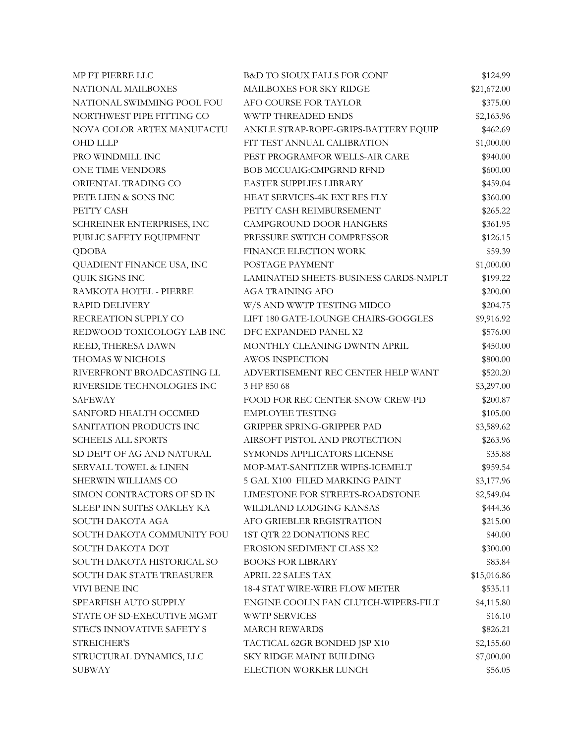| MP FT PIERRE LLC                 | <b>B&amp;D TO SIOUX FALLS FOR CONF</b> | \$124.99    |
|----------------------------------|----------------------------------------|-------------|
| NATIONAL MAILBOXES               | MAILBOXES FOR SKY RIDGE                | \$21,672.00 |
| NATIONAL SWIMMING POOL FOU       | AFO COURSE FOR TAYLOR                  | \$375.00    |
| NORTHWEST PIPE FITTING CO        | <b>WWTP THREADED ENDS</b>              | \$2,163.96  |
| NOVA COLOR ARTEX MANUFACTU       | ANKLE STRAP-ROPE-GRIPS-BATTERY EQUIP   | \$462.69    |
| <b>OHD LLLP</b>                  | FIT TEST ANNUAL CALIBRATION            | \$1,000.00  |
| PRO WINDMILL INC                 | PEST PROGRAMFOR WELLS-AIR CARE         | \$940.00    |
| ONE TIME VENDORS                 | <b>BOB MCCUAIG:CMPGRND RFND</b>        | \$600.00    |
| ORIENTAL TRADING CO              | EASTER SUPPLIES LIBRARY                | \$459.04    |
| PETE LIEN & SONS INC             | HEAT SERVICES-4K EXT RES FLY           | \$360.00    |
| PETTY CASH                       | PETTY CASH REIMBURSEMENT               | \$265.22    |
| SCHREINER ENTERPRISES, INC       | CAMPGROUND DOOR HANGERS                | \$361.95    |
| PUBLIC SAFETY EQUIPMENT          | PRESSURE SWITCH COMPRESSOR             | \$126.15    |
| <b>QDOBA</b>                     | FINANCE ELECTION WORK                  | \$59.39     |
| QUADIENT FINANCE USA, INC        | POSTAGE PAYMENT                        | \$1,000.00  |
| QUIK SIGNS INC                   | LAMINATED SHEETS-BUSINESS CARDS-NMPLT  | \$199.22    |
| RAMKOTA HOTEL - PIERRE           | <b>AGA TRAINING AFO</b>                | \$200.00    |
| RAPID DELIVERY                   | W/S AND WWTP TESTING MIDCO             | \$204.75    |
| RECREATION SUPPLY CO             | LIFT 180 GATE-LOUNGE CHAIRS-GOGGLES    | \$9,916.92  |
| REDWOOD TOXICOLOGY LAB INC       | DFC EXPANDED PANEL X2                  | \$576.00    |
| REED, THERESA DAWN               | MONTHLY CLEANING DWNTN APRIL           | \$450.00    |
| THOMAS W NICHOLS                 | <b>AWOS INSPECTION</b>                 | \$800.00    |
| RIVERFRONT BROADCASTING LL       | ADVERTISEMENT REC CENTER HELP WANT     | \$520.20    |
| RIVERSIDE TECHNOLOGIES INC       | 3 HP 850 68                            | \$3,297.00  |
| SAFEWAY                          | FOOD FOR REC CENTER-SNOW CREW-PD       | \$200.87    |
| SANFORD HEALTH OCCMED            | <b>EMPLOYEE TESTING</b>                | \$105.00    |
| SANITATION PRODUCTS INC          | <b>GRIPPER SPRING-GRIPPER PAD</b>      | \$3,589.62  |
| <b>SCHEELS ALL SPORTS</b>        | AIRSOFT PISTOL AND PROTECTION          | \$263.96    |
| SD DEPT OF AG AND NATURAL        | SYMONDS APPLICATORS LICENSE            | \$35.88     |
| <b>SERVALL TOWEL &amp; LINEN</b> | MOP-MAT-SANITIZER WIPES-ICEMELT        | \$959.54    |
| SHERWIN WILLIAMS CO              | 5 GAL X100 FILED MARKING PAINT         | \$3,177.96  |
| SIMON CONTRACTORS OF SD IN       | LIMESTONE FOR STREETS-ROADSTONE        | \$2,549.04  |
| SLEEP INN SUITES OAKLEY KA       | WILDLAND LODGING KANSAS                | \$444.36    |
| SOUTH DAKOTA AGA                 | AFO GRIEBLER REGISTRATION              | \$215.00    |
| SOUTH DAKOTA COMMUNITY FOU       | 1ST QTR 22 DONATIONS REC               | \$40.00     |
| SOUTH DAKOTA DOT                 | EROSION SEDIMENT CLASS X2              | \$300.00    |
| SOUTH DAKOTA HISTORICAL SO       | <b>BOOKS FOR LIBRARY</b>               | \$83.84     |
| SOUTH DAK STATE TREASURER        | APRIL 22 SALES TAX                     | \$15,016.86 |
| VIVI BENE INC                    | <b>18-4 STAT WIRE-WIRE FLOW METER</b>  | \$535.11    |
| SPEARFISH AUTO SUPPLY            | ENGINE COOLIN FAN CLUTCH-WIPERS-FILT   | \$4,115.80  |
| STATE OF SD-EXECUTIVE MGMT       | WWTP SERVICES                          | \$16.10     |
| STEC'S INNOVATIVE SAFETY S       | <b>MARCH REWARDS</b>                   | \$826.21    |
| STREICHER'S                      | TACTICAL 62GR BONDED JSP X10           | \$2,155.60  |
| STRUCTURAL DYNAMICS, LLC         | SKY RIDGE MAINT BUILDING               | \$7,000.00  |
| <b>SUBWAY</b>                    | ELECTION WORKER LUNCH                  | \$56.05     |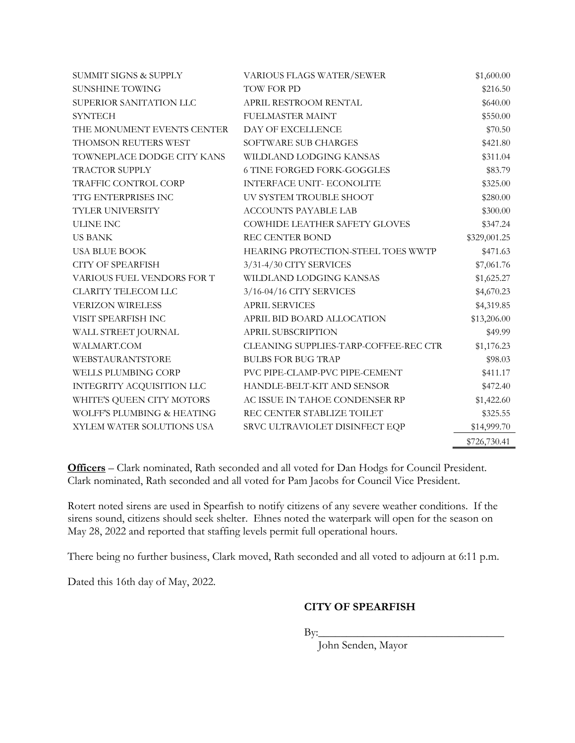| <b>SUMMIT SIGNS &amp; SUPPLY</b> | VARIOUS FLAGS WATER/SEWER             | \$1,600.00   |
|----------------------------------|---------------------------------------|--------------|
| <b>SUNSHINE TOWING</b>           | TOW FOR PD                            | \$216.50     |
| SUPERIOR SANITATION LLC          | APRIL RESTROOM RENTAL                 | \$640.00     |
| <b>SYNTECH</b>                   | FUELMASTER MAINT                      | \$550.00     |
| THE MONUMENT EVENTS CENTER       | DAY OF EXCELLENCE                     | \$70.50      |
| THOMSON REUTERS WEST             | SOFTWARE SUB CHARGES                  | \$421.80     |
| TOWNEPLACE DODGE CITY KANS       | WILDLAND LODGING KANSAS               | \$311.04     |
| TRACTOR SUPPLY                   | <b>6 TINE FORGED FORK-GOGGLES</b>     | \$83.79      |
| TRAFFIC CONTROL CORP             | <b>INTERFACE UNIT- ECONOLITE</b>      | \$325.00     |
| <b>TTG ENTERPRISES INC</b>       | UV SYSTEM TROUBLE SHOOT               | \$280.00     |
| TYLER UNIVERSITY                 | <b>ACCOUNTS PAYABLE LAB</b>           | \$300.00     |
| <b>ULINE INC</b>                 | COWHIDE LEATHER SAFETY GLOVES         | \$347.24     |
| <b>US BANK</b>                   | <b>REC CENTER BOND</b>                | \$329,001.25 |
| <b>USA BLUE BOOK</b>             | HEARING PROTECTION-STEEL TOES WWTP    | \$471.63     |
| <b>CITY OF SPEARFISH</b>         | 3/31-4/30 CITY SERVICES               | \$7,061.76   |
| VARIOUS FUEL VENDORS FOR T       | WILDLAND LODGING KANSAS               | \$1,625.27   |
| <b>CLARITY TELECOM LLC</b>       | 3/16-04/16 CITY SERVICES              | \$4,670.23   |
| <b>VERIZON WIRELESS</b>          | <b>APRIL SERVICES</b>                 | \$4,319.85   |
| VISIT SPEARFISH INC              | APRIL BID BOARD ALLOCATION            | \$13,206.00  |
| WALL STREET JOURNAL              | APRIL SUBSCRIPTION                    | \$49.99      |
| WALMART.COM                      | CLEANING SUPPLIES-TARP-COFFEE-REC CTR | \$1,176.23   |
| WEBSTAURANTSTORE                 | <b>BULBS FOR BUG TRAP</b>             | \$98.03      |
| WELLS PLUMBING CORP              | PVC PIPE-CLAMP-PVC PIPE-CEMENT        | \$411.17     |
| INTEGRITY ACQUISITION LLC        | HANDLE-BELT-KIT AND SENSOR            | \$472.40     |
| WHITE'S QUEEN CITY MOTORS        | AC ISSUE IN TAHOE CONDENSER RP        | \$1,422.60   |
| WOLFF'S PLUMBING & HEATING       | REC CENTER STABLIZE TOILET            | \$325.55     |
| XYLEM WATER SOLUTIONS USA        | SRVC ULTRAVIOLET DISINFECT EQP        | \$14,999.70  |
|                                  |                                       | \$726,730.41 |

**Officers** – Clark nominated, Rath seconded and all voted for Dan Hodgs for Council President. Clark nominated, Rath seconded and all voted for Pam Jacobs for Council Vice President.

Rotert noted sirens are used in Spearfish to notify citizens of any severe weather conditions. If the sirens sound, citizens should seek shelter. Ehnes noted the waterpark will open for the season on May 28, 2022 and reported that staffing levels permit full operational hours.

There being no further business, Clark moved, Rath seconded and all voted to adjourn at 6:11 p.m.

Dated this 16th day of May, 2022.

# **CITY OF SPEARFISH**

 $\mathbf{By:}\_$ 

John Senden, Mayor